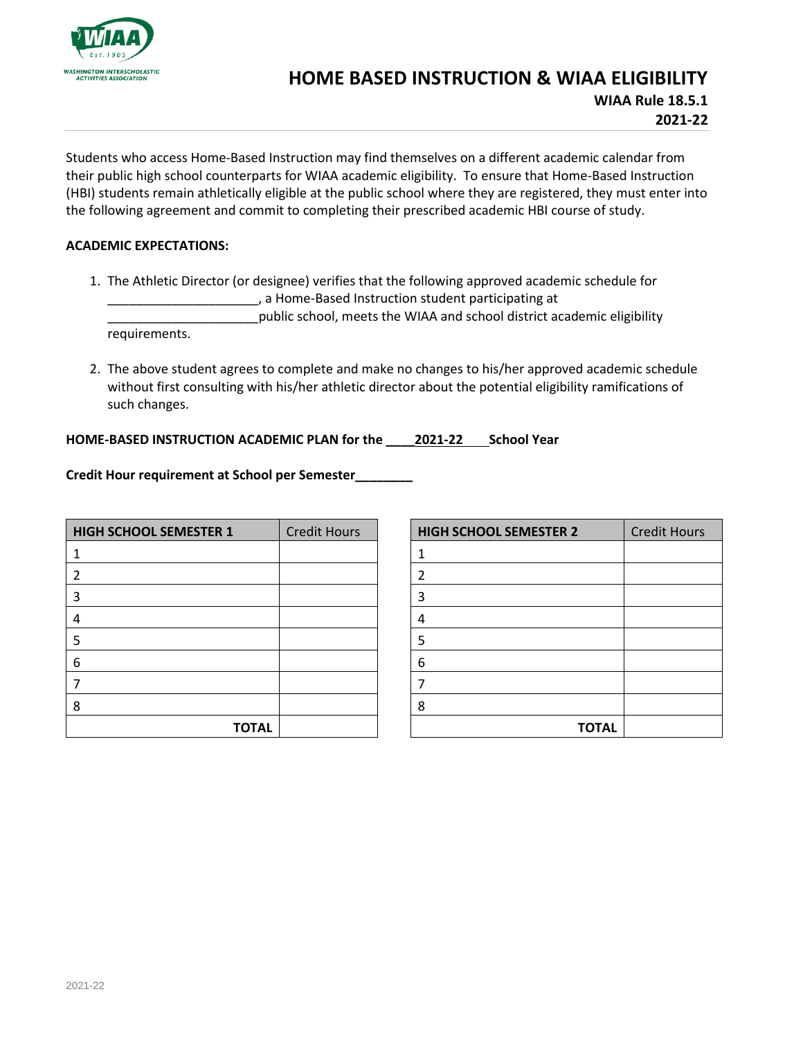

## **HOME BASED INSTRUCTION & WIAA ELIGIBILITY WIAA Rule 18.5.1**

**2021-22**

Students who access Home-Based Instruction may find themselves on a different academic calendar from their public high school counterparts for WIAA academic eligibility. To ensure that Home-Based Instruction (HBI) students remain athletically eligible at the public school where they are registered, they must enter into the following agreement and commit to completing their prescribed academic HBI course of study.

## **ACADEMIC EXPECTATIONS:**

1. The Athletic Director (or designee) verifies that the following approved academic schedule for \_\_\_\_\_\_\_\_\_\_\_\_\_\_\_\_\_\_\_\_\_, a Home-Based Instruction student participating at

\_\_\_\_\_\_\_\_\_\_\_\_\_\_\_\_\_\_\_\_\_public school, meets the WIAA and school district academic eligibility requirements.

2. The above student agrees to complete and make no changes to his/her approved academic schedule without first consulting with his/her athletic director about the potential eligibility ramifications of such changes.

## **HOME-BASED INSTRUCTION ACADEMIC PLAN for the \_\_\_\_2021-22 School Year**

**Credit Hour requirement at School per Semester\_\_\_\_\_\_\_\_**

| <b>HIGH SCHOOL SEMESTER 1</b> | <b>Credit Hours</b> |
|-------------------------------|---------------------|
| 1                             |                     |
| $\overline{2}$                |                     |
| 3                             |                     |
| 4                             |                     |
| 5                             |                     |
| 6                             |                     |
| 7                             |                     |
| 8                             |                     |
| <b>TOTAL</b>                  |                     |

| <b>HIGH SCHOOL SEMESTER 2</b> | <b>Credit Hours</b> |
|-------------------------------|---------------------|
| 1                             |                     |
| $\overline{2}$                |                     |
| 3                             |                     |
| 4                             |                     |
| 5                             |                     |
| 6                             |                     |
| 7                             |                     |
| 8                             |                     |
| <b>TOTAL</b>                  |                     |